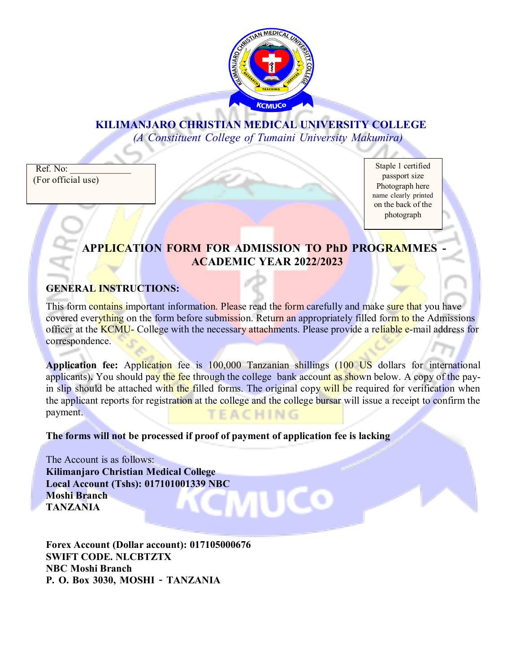

# **KILIMANJARO CHRISTIAN MEDICAL UNIVERSITY COLLEGE**

*(A Constituent College of Tumaini University Makumira)*

Ref. No: (For official use)

Staple 1 certified passport size Photograph here name clearly printed on the back of the photograph

# **APPLICATION FORM FOR ADMISSION TO PhD PROGRAMMES - ACADEMIC YEAR 2022/2023**

### **GENERAL INSTRUCTIONS:**

This form contains important information. Please read the form carefully and make sure that you have covered everything on the form before submission. Return an appropriately filled form to the Admissions officer at the **KCMU**- College with the necessary attachments. Please provide a reliable e-mail address for correspondence.

**Application fee:** Application fee is 100,000 Tanzanian shillings (100 US dollars for international applicants). You should pay the fee through the college bank account as shown below. A copy of the payin slip should be attached with the filled forms. The original copy will be required for verification when the applicant reports for registration at the college and the college bursar will issue a receipt to confirm the payment. TEACHING

**The forms will not be processed if proof of payment of application fee is lacking**

The Account is as follows: **Kilimanjaro Christian Medical College Local Account (Tshs): 017101001339 NBC** MUCO: **Moshi Branch TANZANIA**

**Forex Account (Dollar account): 017105000676 SWIFT CODE. NLCBTZTX NBC Moshi Branch P. O. Box 3030, MOSHI** *–* **TANZANIA**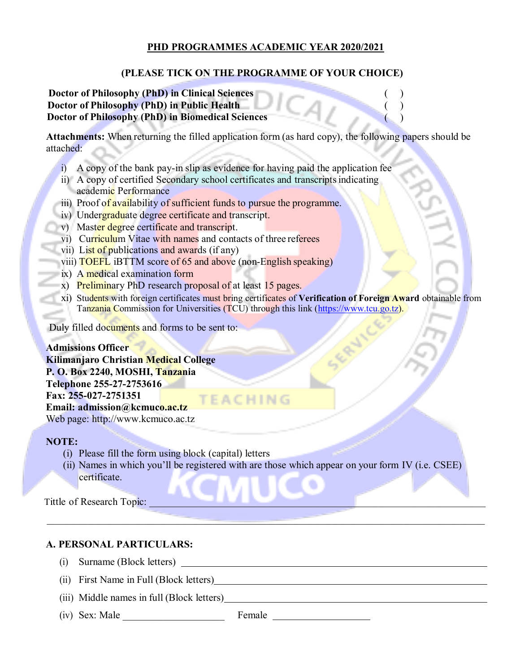#### **PHD PROGRAMMES ACADEMIC YEAR 2020/2021**

### **(PLEASE TICK ON THE PROGRAMME OF YOUR CHOICE)**

#### **Doctor of Philosophy (PhD) in Clinical Sciences** ( ) **Doctor of Philosophy (PhD) in Public Health** ( )  **Doctor of Philosophy (PhD) in Biomedical Sciences** ( )

**Attachments:** When returning the filled application form (as hard copy), the following papers should be attached:

- i) A copy of the bank pay-in slip as evidence for having paid the application fee
- ii) A copy of certified Secondary school certificates and transcriptsindicating academic Performance
- iii) Proof of availability of sufficient funds to pursue the programme.
- iv) Undergraduate degree certificate and transcript.
- v) Master degree certificate and transcript.
- vi) Curriculum Vitae with names and contacts of three referees
- vii) List of publications and awards (if any)
- viii) TOEFL iBTTM score of 65 and above (non-English speaking)
- ix) A medical examination form
- x) Preliminary PhD research proposal of at least 15 pages.
- xi) Students with foreign certificates must bring certificates of **Verification of Foreign Award** obtainable from Tanzania Commission for Universities (TCU) through this link [\(https://www.tcu.go.tz\)](https://www.tcu.go.tz/).

Duly filled documents and forms to be sent to:

**Admissions Officer Kilimanjaro Christian Medical College P. O. Box 2240, MOSHI, Tanzania Telephone 255-27-2753616 Fax: 255-027-2751351 TEACHING Email: [admission@kcmuco.ac.tz](mailto:admission@kcmuco.ac.tz)** Web page: [http://www.kcmuco.ac.tz](http://www.kcmuco.ac.tz/)

#### **NOTE:**

- (i) Please fill the form using block (capital) letters
- (ii) Names in which you'll be registered with are those which appear on your form IV (i.e. CSEE) certificate.

 $\mathcal{L}_\mathcal{L} = \mathcal{L}_\mathcal{L} = \mathcal{L}_\mathcal{L} = \mathcal{L}_\mathcal{L} = \mathcal{L}_\mathcal{L} = \mathcal{L}_\mathcal{L} = \mathcal{L}_\mathcal{L} = \mathcal{L}_\mathcal{L} = \mathcal{L}_\mathcal{L} = \mathcal{L}_\mathcal{L} = \mathcal{L}_\mathcal{L} = \mathcal{L}_\mathcal{L} = \mathcal{L}_\mathcal{L} = \mathcal{L}_\mathcal{L} = \mathcal{L}_\mathcal{L} = \mathcal{L}_\mathcal{L} = \mathcal{L}_\mathcal{L}$ 

Tittle of Research Topic:

#### **A. PERSONAL PARTICULARS:**

- (i) Surname (Block letters)
- (ii) First Name in Full (Block letters)
- (iii) Middle names in full (Block letters)
- $(iv)$  Sex: Male Female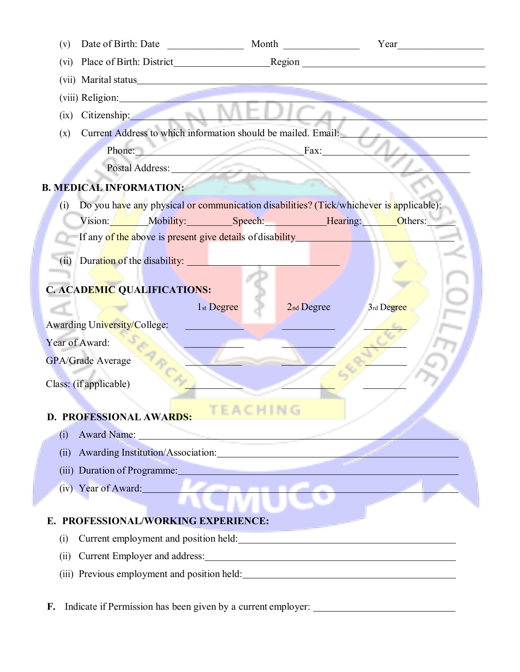| Date of Birth: Date<br>(v)                                                                                                                                                                                                           | Month                                | $Year$ and $Year$ and $Year$ and $Year$ and $Year$ and $Year$ and $Year$ and $Year$ and $Year$ and $Year$ and $Year$ and $Year$ and $Year$ and $Year$ and $Year$ and $Year$ and $Year$ and $Year$ and $Year$ and $Year$ and $Year$ and $Year$ and $Year$ and $Year$ and $Year$ and $Year$ and $Year$ and $Year$ a |
|--------------------------------------------------------------------------------------------------------------------------------------------------------------------------------------------------------------------------------------|--------------------------------------|-------------------------------------------------------------------------------------------------------------------------------------------------------------------------------------------------------------------------------------------------------------------------------------------------------------------|
| (vi)                                                                                                                                                                                                                                 |                                      |                                                                                                                                                                                                                                                                                                                   |
|                                                                                                                                                                                                                                      |                                      |                                                                                                                                                                                                                                                                                                                   |
| (viii) Religion:                                                                                                                                                                                                                     |                                      |                                                                                                                                                                                                                                                                                                                   |
| Citizenship:<br>(ix)                                                                                                                                                                                                                 |                                      |                                                                                                                                                                                                                                                                                                                   |
| Current Address to which information should be mailed. Email:<br>(x)                                                                                                                                                                 |                                      |                                                                                                                                                                                                                                                                                                                   |
| Phone: Fax:                                                                                                                                                                                                                          |                                      |                                                                                                                                                                                                                                                                                                                   |
| Postal Address:                                                                                                                                                                                                                      | ١                                    |                                                                                                                                                                                                                                                                                                                   |
| <b>B. MEDICAL INFORMATION:</b>                                                                                                                                                                                                       |                                      |                                                                                                                                                                                                                                                                                                                   |
| Do you have any physical or communication disabilities? (Tick/whichever is applicable):<br>(i)                                                                                                                                       |                                      |                                                                                                                                                                                                                                                                                                                   |
| Vision: Mobility: Speech: Hearing: Others:                                                                                                                                                                                           |                                      |                                                                                                                                                                                                                                                                                                                   |
| If any of the above is present give details of disability <b>the contract of the same of the same of the same of the same of the same of the same of the same of the same of the same of the same of the same of the same of the</b> |                                      |                                                                                                                                                                                                                                                                                                                   |
| Duration of the disability:<br>(ii)                                                                                                                                                                                                  |                                      |                                                                                                                                                                                                                                                                                                                   |
|                                                                                                                                                                                                                                      |                                      |                                                                                                                                                                                                                                                                                                                   |
| <b>C. ACADEMIC QUALIFICATIONS:</b>                                                                                                                                                                                                   |                                      |                                                                                                                                                                                                                                                                                                                   |
|                                                                                                                                                                                                                                      | 1 <sub>st</sub> Degree<br>2nd Degree | 3rd Degree                                                                                                                                                                                                                                                                                                        |
| Awarding University/College:                                                                                                                                                                                                         |                                      |                                                                                                                                                                                                                                                                                                                   |
| Year of Award:                                                                                                                                                                                                                       |                                      |                                                                                                                                                                                                                                                                                                                   |
| <b>GPA/Grade Average</b>                                                                                                                                                                                                             |                                      |                                                                                                                                                                                                                                                                                                                   |
| Class: (if applicable)                                                                                                                                                                                                               |                                      |                                                                                                                                                                                                                                                                                                                   |
|                                                                                                                                                                                                                                      |                                      |                                                                                                                                                                                                                                                                                                                   |
| D. PROFESSIONAL AWARDS:                                                                                                                                                                                                              |                                      |                                                                                                                                                                                                                                                                                                                   |
| Award Name:<br>(i)                                                                                                                                                                                                                   |                                      |                                                                                                                                                                                                                                                                                                                   |
| (i)                                                                                                                                                                                                                                  |                                      |                                                                                                                                                                                                                                                                                                                   |
| (iii) Duration of Programme:                                                                                                                                                                                                         |                                      |                                                                                                                                                                                                                                                                                                                   |
| (iv) Year of Award:                                                                                                                                                                                                                  | <b><i>Longitude Company</i></b>      |                                                                                                                                                                                                                                                                                                                   |
|                                                                                                                                                                                                                                      |                                      |                                                                                                                                                                                                                                                                                                                   |
| PROFESSIONAL/WORKING EXPERIENCE:<br>Е.                                                                                                                                                                                               |                                      |                                                                                                                                                                                                                                                                                                                   |
| (i)                                                                                                                                                                                                                                  |                                      |                                                                                                                                                                                                                                                                                                                   |
| (ii)                                                                                                                                                                                                                                 |                                      |                                                                                                                                                                                                                                                                                                                   |
|                                                                                                                                                                                                                                      |                                      |                                                                                                                                                                                                                                                                                                                   |

F. Indicate if Permission has been given by a current employer: